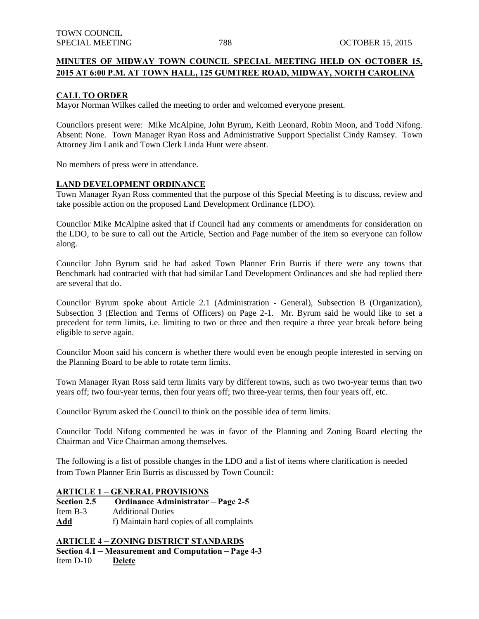## **MINUTES OF MIDWAY TOWN COUNCIL SPECIAL MEETING HELD ON OCTOBER 15, 2015 AT 6:00 P.M. AT TOWN HALL, 125 GUMTREE ROAD, MIDWAY, NORTH CAROLINA**

#### **CALL TO ORDER**

Mayor Norman Wilkes called the meeting to order and welcomed everyone present.

Councilors present were: Mike McAlpine, John Byrum, Keith Leonard, Robin Moon, and Todd Nifong. Absent: None. Town Manager Ryan Ross and Administrative Support Specialist Cindy Ramsey. Town Attorney Jim Lanik and Town Clerk Linda Hunt were absent.

No members of press were in attendance.

#### **LAND DEVELOPMENT ORDINANCE**

Town Manager Ryan Ross commented that the purpose of this Special Meeting is to discuss, review and take possible action on the proposed Land Development Ordinance (LDO).

Councilor Mike McAlpine asked that if Council had any comments or amendments for consideration on the LDO, to be sure to call out the Article, Section and Page number of the item so everyone can follow along.

Councilor John Byrum said he had asked Town Planner Erin Burris if there were any towns that Benchmark had contracted with that had similar Land Development Ordinances and she had replied there are several that do.

Councilor Byrum spoke about Article 2.1 (Administration - General), Subsection B (Organization), Subsection 3 (Election and Terms of Officers) on Page 2-1. Mr. Byrum said he would like to set a precedent for term limits, i.e. limiting to two or three and then require a three year break before being eligible to serve again.

Councilor Moon said his concern is whether there would even be enough people interested in serving on the Planning Board to be able to rotate term limits.

Town Manager Ryan Ross said term limits vary by different towns, such as two two-year terms than two years off; two four-year terms, then four years off; two three-year terms, then four years off, etc.

Councilor Byrum asked the Council to think on the possible idea of term limits.

Councilor Todd Nifong commented he was in favor of the Planning and Zoning Board electing the Chairman and Vice Chairman among themselves.

The following is a list of possible changes in the LDO and a list of items where clarification is needed from Town Planner Erin Burris as discussed by Town Council:

### **ARTICLE 1 – GENERAL PROVISIONS**

**Section 2.5 Ordinance Administrator – Page 2-5** Item B-3 Additional Duties

**Add** f) Maintain hard copies of all complaints

### **ARTICLE 4 – ZONING DISTRICT STANDARDS**

**Section 4.1 – Measurement and Computation – Page 4-3**

Item D-10 **Delete**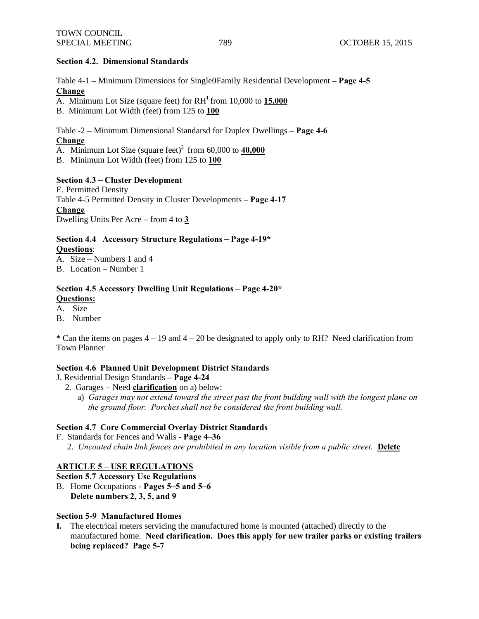#### **Section 4.2. Dimensional Standards**

Table 4-1 – Minimum Dimensions for Single0Family Residential Development – **Page 4-5 Change**

A. Minimum Lot Size (square feet) for  $RH<sup>1</sup>$  from 10,000 to  $15,000$ 

B. Minimum Lot Width (feet) from 125 to **100**

Table -2 – Minimum Dimensional Standarsd for Duplex Dwellings – **Page 4-6 Change** 

A. Minimum Lot Size (square feet)<sup>2</sup> from  $60,000$  to  $40,000$ 

B. Minimum Lot Width (feet) from 125 to **100**

#### **Section 4.3 – Cluster Development**

E. Permitted Density Table 4-5 Permitted Density in Cluster Developments – **Page 4-17 Change** Dwelling Units Per Acre – from 4 to **3**

**Section 4.4 Accessory Structure Regulations – Page 4-19\***

### **Questions**:

A. Size – Numbers 1 and 4

B. Location – Number 1

### **Section 4.5 Accessory Dwelling Unit Regulations – Page 4-20\* Questions:**

A. Size

B. Number

 $*$  Can the items on pages  $4 - 19$  and  $4 - 20$  be designated to apply only to RH? Need clarification from Town Planner

#### **Section 4.6 Planned Unit Development District Standards**

- J. Residential Design Standards **Page 4-24**
	- 2. Garages Need **clarification** on a) below:
		- a) *Garages may not extend toward the street past the front building wall with the longest plane on the ground floor. Porches shall not be considered the front building wall.*

#### **Section 4.7 Core Commercial Overlay District Standards**

F. Standards for Fences and Walls - **Page 4–36** 2. *Uncoated chain link fences are prohibited in any location visible from a public street.* **Delete**

# **ARTICLE 5 – USE REGULATIONS**

**Section 5.7 Accessory Use Regulations**

B. Home Occupations - **Pages 5–5 and 5–6 Delete numbers 2, 3, 5, and 9**

#### **Section 5-9 Manufactured Homes**

**I.** The electrical meters servicing the manufactured home is mounted (attached) directly to the manufactured home. **Need clarification. Does this apply for new trailer parks or existing trailers being replaced? Page 5-7**